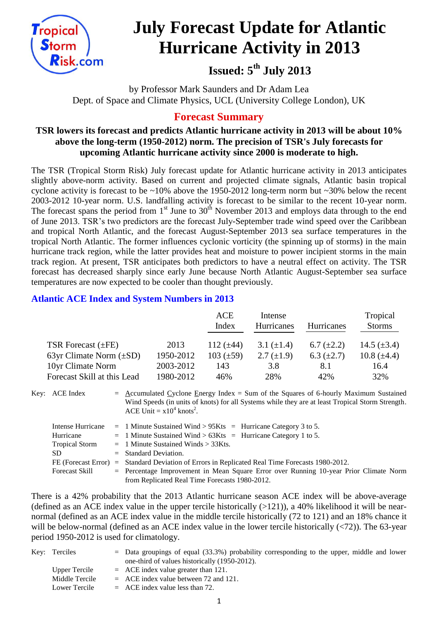

# **July Forecast Update for Atlantic Hurricane Activity in 2013**

# **Issued: 5 th July 2013**

by Professor Mark Saunders and Dr Adam Lea Dept. of Space and Climate Physics, UCL (University College London), UK

# **Forecast Summary**

## **TSR lowers its forecast and predicts Atlantic hurricane activity in 2013 will be about 10% above the long-term (1950-2012) norm. The precision of TSR's July forecasts for upcoming Atlantic hurricane activity since 2000 is moderate to high.**

The TSR (Tropical Storm Risk) July forecast update for Atlantic hurricane activity in 2013 anticipates slightly above-norm activity. Based on current and projected climate signals, Atlantic basin tropical cyclone activity is forecast to be ~10% above the 1950-2012 long-term norm but ~30% below the recent 2003-2012 10-year norm. U.S. landfalling activity is forecast to be similar to the recent 10-year norm. The forecast spans the period from 1<sup>st</sup> June to 30<sup>th</sup> November 2013 and employs data through to the end of June 2013. TSR's two predictors are the forecast July-September trade wind speed over the Caribbean and tropical North Atlantic, and the forecast August-September 2013 sea surface temperatures in the tropical North Atlantic. The former influences cyclonic vorticity (the spinning up of storms) in the main hurricane track region, while the latter provides heat and moisture to power incipient storms in the main track region. At present, TSR anticipates both predictors to have a neutral effect on activity. The TSR forecast has decreased sharply since early June because North Atlantic August-September sea surface temperatures are now expected to be cooler than thought previously.

## **Atlantic ACE Index and System Numbers in 2013**

|                              |           | ACE<br>Intense |                 | Hurricanes<br>Index<br><b>Hurricanes</b> |                  |
|------------------------------|-----------|----------------|-----------------|------------------------------------------|------------------|
|                              |           |                |                 |                                          | <b>Storms</b>    |
| TSR Forecast $(\pm FE)$      | 2013      | 112 $(\pm 44)$ | 3.1 $(\pm 1.4)$ | 6.7 $(\pm 2.2)$                          | 14.5 $(\pm 3.4)$ |
| 63yr Climate Norm $(\pm SD)$ | 1950-2012 | $103 (\pm 59)$ | 2.7 $(\pm 1.9)$ | 6.3 $(\pm 2.7)$                          | 10.8 $(\pm 4.4)$ |
| 10yr Climate Norm            | 2003-2012 | 143            | 3.8             | 8.1                                      | 16.4             |
| Forecast Skill at this Lead  | 1980-2012 | 46%            | 28%             | 42%                                      | 32%              |

Key: ACE Index = Accumulated Cyclone Energy Index = Sum of the Squares of 6-hourly Maximum Sustained Wind Speeds (in units of knots) for all Systems while they are at least Tropical Storm Strength. ACE Unit =  $x10^4$  knots<sup>2</sup>.

|                       | Intense Hurricane = 1 Minute Sustained Wind > $95Kts$ = Hurricane Category 3 to 5.              |
|-----------------------|-------------------------------------------------------------------------------------------------|
| Hurricane             | $=$ 1 Minute Sustained Wind > 63Kts $=$ Hurricane Category 1 to 5.                              |
| <b>Tropical Storm</b> | $=$ 1 Minute Sustained Winds $>$ 33Kts.                                                         |
| SD.                   | $=$ Standard Deviation.                                                                         |
|                       | FE (Forecast Error) = Standard Deviation of Errors in Replicated Real Time Forecasts 1980-2012. |
| Forecast Skill        | $=$ Percentage Improvement in Mean Square Error over Running 10-year Prior Climate Norm         |
|                       | from Replicated Real Time Forecasts 1980-2012.                                                  |

There is a 42% probability that the 2013 Atlantic hurricane season ACE index will be above-average (defined as an ACE index value in the upper tercile historically  $(>121)$ ), a 40% likelihood it will be nearnormal (defined as an ACE index value in the middle tercile historically (72 to 121) and an 18% chance it will be below-normal (defined as an ACE index value in the lower tercile historically (<72)). The 63-year period 1950-2012 is used for climatology.

| Key: Terciles  | $=$ Data groupings of equal (33.3%) probability corresponding to the upper, middle and lower |
|----------------|----------------------------------------------------------------------------------------------|
|                | one-third of values historically (1950-2012).                                                |
| Upper Tercile  | $=$ ACE index value greater than 121.                                                        |
| Middle Tercile | $=$ ACE index value between 72 and 121.                                                      |
| Lower Tercile  | $=$ ACE index value less than 72.                                                            |
|                |                                                                                              |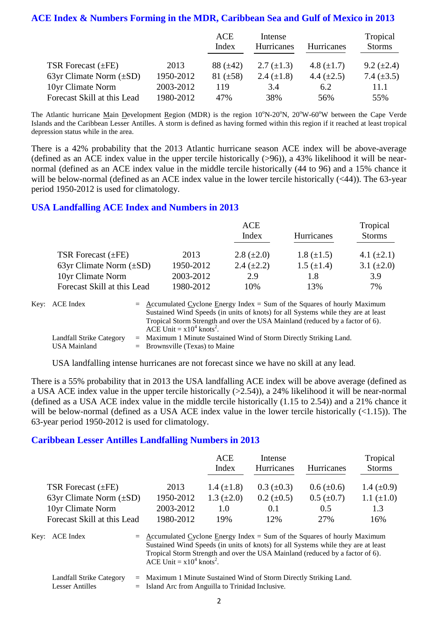#### **ACE Index & Numbers Forming in the MDR, Caribbean Sea and Gulf of Mexico in 2013**

|                              |           | <b>ACE</b><br>Index | Intense<br>Hurricanes | <b>Hurricanes</b> | Tropical<br><b>Storms</b> |
|------------------------------|-----------|---------------------|-----------------------|-------------------|---------------------------|
| TSR Forecast $(\pm FE)$      | 2013      | $88 (\pm 42)$       | 2.7 $(\pm 1.3)$       | 4.8 $(\pm 1.7)$   | $9.2 \ (\pm 2.4)$         |
| 63yr Climate Norm $(\pm SD)$ | 1950-2012 | $81 (\pm 58)$       | 2.4 $(\pm 1.8)$       | 4.4 $(\pm 2.5)$   | 7.4 $(\pm 3.5)$           |
| 10yr Climate Norm            | 2003-2012 | 119                 | 3.4                   | 6.2               | 11.1                      |
| Forecast Skill at this Lead  | 1980-2012 | 47%                 | 38%                   | 56%               | 55%                       |

The Atlantic hurricane Main Development Region (MDR) is the region  $10^{\circ}$ N-20<sup>o</sup>N, 20<sup>o</sup>W-60<sup>o</sup>W between the Cape Verde Islands and the Caribbean Lesser Antilles. A storm is defined as having formed within this region if it reached at least tropical depression status while in the area.

There is a 42% probability that the 2013 Atlantic hurricane season ACE index will be above-average (defined as an ACE index value in the upper tercile historically (>96)), a 43% likelihood it will be nearnormal (defined as an ACE index value in the middle tercile historically (44 to 96) and a 15% chance it will be below-normal (defined as an ACE index value in the lower tercile historically (<44)). The 63-year period 1950-2012 is used for climatology.

#### **USA Landfalling ACE Index and Numbers in 2013**

|                              |           | <b>ACE</b>      |                   | Tropical        |  |  |
|------------------------------|-----------|-----------------|-------------------|-----------------|--|--|
|                              |           | Index           | <b>Hurricanes</b> | <b>Storms</b>   |  |  |
| TSR Forecast $(\pm FE)$      | 2013      | 2.8 $(\pm 2.0)$ | $1.8 (\pm 1.5)$   | 4.1 $(\pm 2.1)$ |  |  |
| 63yr Climate Norm $(\pm SD)$ | 1950-2012 | 2.4 $(\pm 2.2)$ | $1.5 \ (\pm 1.4)$ | 3.1 $(\pm 2.0)$ |  |  |
| 10yr Climate Norm            | 2003-2012 | 2.9             | 1.8               | 3.9             |  |  |
| Forecast Skill at this Lead  | 1980-2012 | 10%             | 13%               | 7%              |  |  |

| Key: ACE Index                                  | $=$ Accumulated Cyclone Energy Index $=$ Sum of the Squares of hourly Maximum<br>Sustained Wind Speeds (in units of knots) for all Systems while they are at least<br>Tropical Storm Strength and over the USA Mainland (reduced by a factor of 6).<br>ACE Unit = $x10^4$ knots <sup>2</sup> . |
|-------------------------------------------------|------------------------------------------------------------------------------------------------------------------------------------------------------------------------------------------------------------------------------------------------------------------------------------------------|
| Landfall Strike Category<br><b>USA Mainland</b> | $=$ Maximum 1 Minute Sustained Wind of Storm Directly Striking Land.<br>$=$ Brownsville (Texas) to Maine                                                                                                                                                                                       |

USA landfalling intense hurricanes are not forecast since we have no skill at any lead.

There is a 55% probability that in 2013 the USA landfalling ACE index will be above average (defined as a USA ACE index value in the upper tercile historically (>2.54)), a 24% likelihood it will be near-normal (defined as a USA ACE index value in the middle tercile historically (1.15 to 2.54)) and a 21% chance it will be below-normal (defined as a USA ACE index value in the lower tercile historically  $(\langle 1.15 \rangle)$ . The 63-year period 1950-2012 is used for climatology.

#### **Caribbean Lesser Antilles Landfalling Numbers in 2013**

|                              |           | <b>ACE</b><br>Index | Intense<br>Hurricanes | <b>Hurricanes</b> | Tropical<br><b>Storms</b> |
|------------------------------|-----------|---------------------|-----------------------|-------------------|---------------------------|
| TSR Forecast $(\pm FE)$      | 2013      | 1.4 $(\pm 1.8)$     | $0.3 \ (\pm 0.3)$     | $0.6 (\pm 0.6)$   | 1.4 $(\pm 0.9)$           |
| 63yr Climate Norm $(\pm SD)$ | 1950-2012 | 1.3 $(\pm 2.0)$     | $0.2 \ (\pm 0.5)$     | $0.5 \ (\pm 0.7)$ | 1.1 $(\pm 1.0)$           |
| 10yr Climate Norm            | 2003-2012 | 1.0                 | 0.1                   | 0.5               | 1.3                       |
| Forecast Skill at this Lead  | 1980-2012 | 19%                 | 12%                   | 27%               | 16%                       |

Key:  $ACE Index = Accumulated Cyclone Energy Index = Sum of the Squares of hourly Maximum$ Sustained Wind Speeds (in units of knots) for all Systems while they are at least Tropical Storm Strength and over the USA Mainland (reduced by a factor of 6). ACE Unit =  $x10^4$  knots<sup>2</sup>.

Landfall Strike Category = Maximum 1 Minute Sustained Wind of Storm Directly Striking Land.

Lesser Antilles  $=$  Island Arc from Anguilla to Trinidad Inclusive.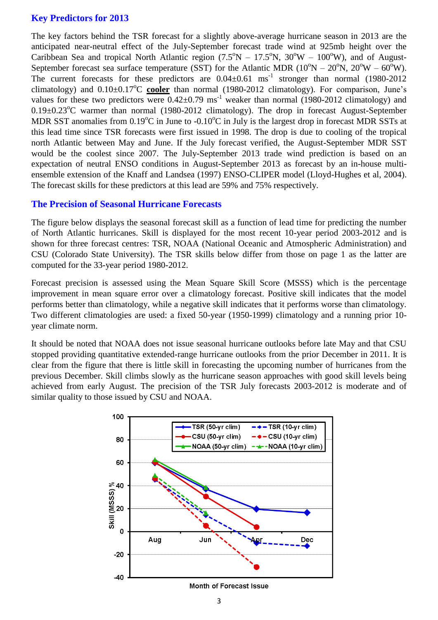### **Key Predictors for 2013**

The key factors behind the TSR forecast for a slightly above-average hurricane season in 2013 are the anticipated near-neutral effect of the July-September forecast trade wind at 925mb height over the Caribbean Sea and tropical North Atlantic region  $(7.5^{\circ}N - 17.5^{\circ}N, 30^{\circ}W - 100^{\circ}W)$ , and of August-September forecast sea surface temperature (SST) for the Atlantic MDR ( $10^{\circ}N - 20^{\circ}N$ ,  $20^{\circ}W - 60^{\circ}W$ ). The current forecasts for these predictors are  $0.04 \pm 0.61$  ms<sup>-1</sup> stronger than normal (1980-2012 climatology) and  $0.10\pm0.17^{\circ}$ C cooler than normal (1980-2012 climatology). For comparison, June's values for these two predictors were  $0.42\pm0.79$  ms<sup>-1</sup> weaker than normal (1980-2012 climatology) and  $0.19\pm0.23^{\circ}$ C warmer than normal (1980-2012 climatology). The drop in forecast August-September MDR SST anomalies from  $0.19^{\circ}$ C in June to  $-0.10^{\circ}$ C in July is the largest drop in forecast MDR SSTs at this lead time since TSR forecasts were first issued in 1998. The drop is due to cooling of the tropical north Atlantic between May and June. If the July forecast verified, the August-September MDR SST would be the coolest since 2007. The July-September 2013 trade wind prediction is based on an expectation of neutral ENSO conditions in August-September 2013 as forecast by an in-house multiensemble extension of the Knaff and Landsea (1997) ENSO-CLIPER model (Lloyd-Hughes et al, 2004). The forecast skills for these predictors at this lead are 59% and 75% respectively.

#### **The Precision of Seasonal Hurricane Forecasts**

The figure below displays the seasonal forecast skill as a function of lead time for predicting the number of North Atlantic hurricanes. Skill is displayed for the most recent 10-year period 2003-2012 and is shown for three forecast centres: TSR, NOAA (National Oceanic and Atmospheric Administration) and CSU (Colorado State University). The TSR skills below differ from those on page 1 as the latter are computed for the 33-year period 1980-2012.

Forecast precision is assessed using the Mean Square Skill Score (MSSS) which is the percentage improvement in mean square error over a climatology forecast. Positive skill indicates that the model performs better than climatology, while a negative skill indicates that it performs worse than climatology. Two different climatologies are used: a fixed 50-year (1950-1999) climatology and a running prior 10 year climate norm.

It should be noted that NOAA does not issue seasonal hurricane outlooks before late May and that CSU stopped providing quantitative extended-range hurricane outlooks from the prior December in 2011. It is clear from the figure that there is little skill in forecasting the upcoming number of hurricanes from the previous December. Skill climbs slowly as the hurricane season approaches with good skill levels being achieved from early August. The precision of the TSR July forecasts 2003-2012 is moderate and of similar quality to those issued by CSU and NOAA.



#### **Month of Forecast Issue**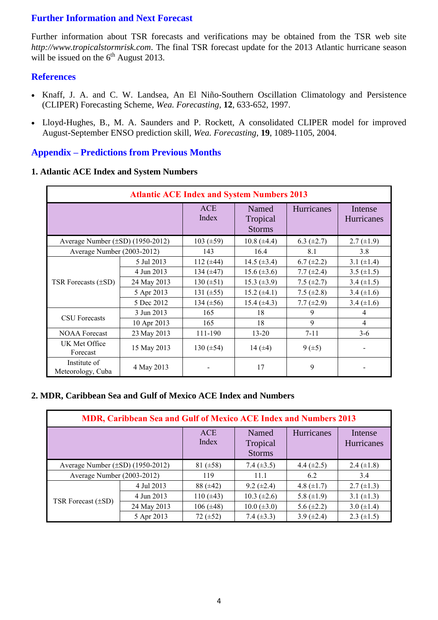## **Further Information and Next Forecast**

Further information about TSR forecasts and verifications may be obtained from the TSR web site *http://www.tropicalstormrisk.com*. The final TSR forecast update for the 2013 Atlantic hurricane season will be issued on the  $6<sup>th</sup>$  August 2013.

#### **References**

- Knaff, J. A. and C. W. Landsea, An El Niño-Southern Oscillation Climatology and Persistence (CLIPER) Forecasting Scheme, *Wea. Forecasting*, **12**, 633-652, 1997.
- [Lloyd-Hughes, B., M. A. Saunders and P. Rockett, A consolidated CLIPER model for improved](http://www.tropicalstormrisk.com/docs/Lloyd-Hughesetal2004.pdf)  [August-September ENSO prediction skill,](http://www.tropicalstormrisk.com/docs/Lloyd-Hughesetal2004.pdf) *Wea. Forecasting*, **19**, 1089-1105, 2004.

#### **Appendix – Predictions from Previous Months**

#### **1. Atlantic ACE Index and System Numbers**

| <b>Atlantic ACE Index and System Numbers 2013</b> |             |                     |                                    |                 |                              |  |  |
|---------------------------------------------------|-------------|---------------------|------------------------------------|-----------------|------------------------------|--|--|
|                                                   |             | <b>ACE</b><br>Index | Named<br>Tropical<br><b>Storms</b> | Hurricanes      | Intense<br><b>Hurricanes</b> |  |  |
| Average Number $(\pm SD)$ (1950-2012)             |             | 103 $(\pm 59)$      | $10.8 (\pm 4.4)$                   | 6.3 $(\pm 2.7)$ | $2.7 \ (\pm 1.9)$            |  |  |
| Average Number (2003-2012)                        |             | 143                 | 16.4                               | 8.1             | 3.8                          |  |  |
|                                                   | 5 Jul 2013  | 112 $(\pm 44)$      | 14.5 $(\pm 3.4)$                   | $6.7 (\pm 2.2)$ | 3.1 $(\pm 1.4)$              |  |  |
| TSR Forecasts $(\pm SD)$                          | 4 Jun 2013  | 134 $(\pm 47)$      | $15.6 (\pm 3.6)$                   | 7.7 $(\pm 2.4)$ | 3.5 $(\pm 1.5)$              |  |  |
|                                                   | 24 May 2013 | 130 $(\pm 51)$      | 15.3 $(\pm 3.9)$                   | 7.5 $(\pm 2.7)$ | 3.4 $(\pm 1.5)$              |  |  |
|                                                   | 5 Apr 2013  | 131 $(\pm 55)$      | 15.2 $(\pm 4.1)$                   | 7.5 $(\pm 2.8)$ | 3.4 $(\pm 1.6)$              |  |  |
|                                                   | 5 Dec 2012  | 134 $(\pm 56)$      | $15.4 (\pm 4.3)$                   | 7.7 $(\pm 2.9)$ | 3.4 $(\pm 1.6)$              |  |  |
|                                                   | 3 Jun 2013  | 165                 | 18                                 | 9               | 4                            |  |  |
| <b>CSU</b> Forecasts                              | 10 Apr 2013 | 165                 | 18                                 | 9               | $\overline{4}$               |  |  |
| <b>NOAA Forecast</b>                              | 23 May 2013 | 111-190             | $13 - 20$                          | $7 - 11$        | $3-6$                        |  |  |
| UK Met Office<br>Forecast                         | 15 May 2013 | 130 $(\pm 54)$      | 14 $(\pm 4)$                       | $9(\pm 5)$      |                              |  |  |
| Institute of<br>Meteorology, Cuba                 | 4 May 2013  |                     | 17                                 | 9               |                              |  |  |

#### **2. MDR, Caribbean Sea and Gulf of Mexico ACE Index and Numbers**

| <b>MDR, Caribbean Sea and Gulf of Mexico ACE Index and Numbers 2013</b> |             |                     |                                    |                 |                              |  |  |  |
|-------------------------------------------------------------------------|-------------|---------------------|------------------------------------|-----------------|------------------------------|--|--|--|
|                                                                         |             | <b>ACE</b><br>Index | Named<br>Tropical<br><b>Storms</b> | Hurricanes      | Intense<br><b>Hurricanes</b> |  |  |  |
| Average Number $(\pm SD)$ (1950-2012)                                   |             | 81 $(\pm 58)$       | 7.4 $(\pm 3.5)$                    | 4.4 $(\pm 2.5)$ | 2.4 $(\pm 1.8)$              |  |  |  |
| Average Number (2003-2012)                                              |             | 119                 | 11.1                               | 6.2             | 3.4                          |  |  |  |
|                                                                         | 4 Jul 2013  | $88 (\pm 42)$       | $9.2 \ (\pm 2.4)$                  | 4.8 $(\pm 1.7)$ | $2.7 \ (\pm 1.3)$            |  |  |  |
| TSR Forecast $(\pm SD)$                                                 | 4 Jun 2013  | 110 $(\pm 43)$      | $10.3 \ (\pm 2.6)$                 | 5.8 $(\pm 1.9)$ | 3.1 $(\pm 1.3)$              |  |  |  |
|                                                                         | 24 May 2013 | $106 (\pm 48)$      | $10.0 (\pm 3.0)$                   | 5.6 $(\pm 2.2)$ | 3.0 $(\pm 1.4)$              |  |  |  |
|                                                                         | 5 Apr 2013  | 72 $(\pm 52)$       | 7.4 $(\pm 3.3)$                    | 3.9 $(\pm 2.4)$ | 2.3 $(\pm 1.5)$              |  |  |  |